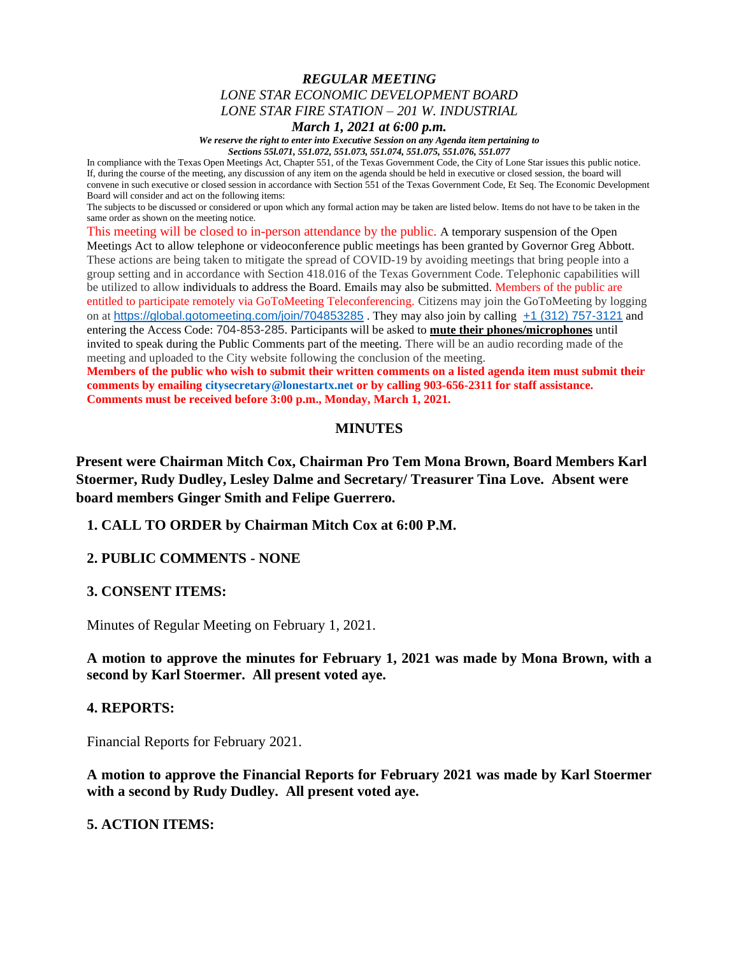### *REGULAR MEETING LONE STAR ECONOMIC DEVELOPMENT BOARD LONE STAR FIRE STATION – 201 W. INDUSTRIAL*

*March 1, 2021 at 6:00 p.m.*

*We reserve the right to enter into Executive Session on any Agenda item pertaining to Sections 55l.071, 551.072, 551.073, 551.074, 551.075, 551.076, 551.077*

In compliance with the Texas Open Meetings Act, Chapter 551, of the Texas Government Code, the City of Lone Star issues this public notice. If, during the course of the meeting, any discussion of any item on the agenda should be held in executive or closed session, the board will convene in such executive or closed session in accordance with Section 551 of the Texas Government Code, Et Seq. The Economic Development Board will consider and act on the following items:

The subjects to be discussed or considered or upon which any formal action may be taken are listed below. Items do not have to be taken in the same order as shown on the meeting notice.

This meeting will be closed to in-person attendance by the public. A temporary suspension of the Open Meetings Act to allow telephone or videoconference public meetings has been granted by Governor Greg Abbott. These actions are being taken to mitigate the spread of COVID-19 by avoiding meetings that bring people into a group setting and in accordance with Section 418.016 of the Texas Government Code. Telephonic capabilities will be utilized to allow individuals to address the Board. Emails may also be submitted. Members of the public are entitled to participate remotely via GoToMeeting Teleconferencing. Citizens may join the GoToMeeting by logging on at <https://global.gotomeeting.com/join/704853285>. They may also join by calling  $+1$  (312) 757-3121 and entering the Access Code: 704-853-285. Participants will be asked to **mute their phones/microphones** until invited to speak during the Public Comments part of the meeting. There will be an audio recording made of the meeting and uploaded to the City website following the conclusion of the meeting.

**Members of the public who wish to submit their written comments on a listed agenda item must submit their comments by emailing citysecretary@lonestartx.net or by calling 903-656-2311 for staff assistance. Comments must be received before 3:00 p.m., Monday, March 1, 2021.**

# **MINUTES**

**Present were Chairman Mitch Cox, Chairman Pro Tem Mona Brown, Board Members Karl Stoermer, Rudy Dudley, Lesley Dalme and Secretary/ Treasurer Tina Love. Absent were board members Ginger Smith and Felipe Guerrero.**

**1. CALL TO ORDER by Chairman Mitch Cox at 6:00 P.M.**

## **2. PUBLIC COMMENTS - NONE**

### **3. CONSENT ITEMS:**

Minutes of Regular Meeting on February 1, 2021.

**A motion to approve the minutes for February 1, 2021 was made by Mona Brown, with a second by Karl Stoermer. All present voted aye.**

### **4. REPORTS:**

Financial Reports for February 2021.

**A motion to approve the Financial Reports for February 2021 was made by Karl Stoermer with a second by Rudy Dudley. All present voted aye.**

### **5. ACTION ITEMS:**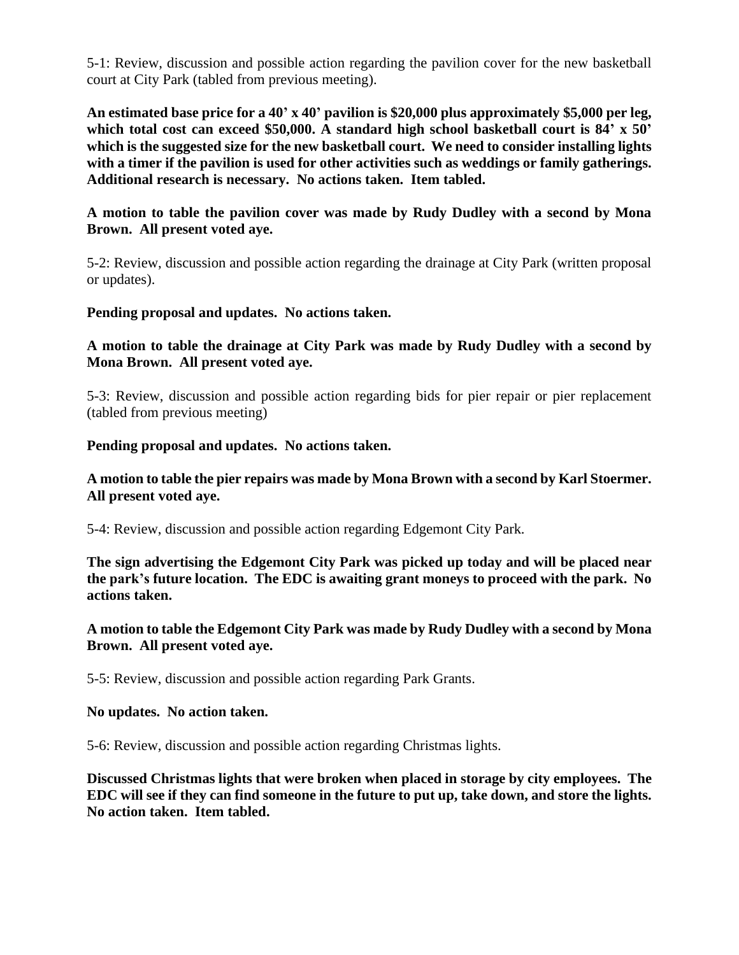5-1: Review, discussion and possible action regarding the pavilion cover for the new basketball court at City Park (tabled from previous meeting).

**An estimated base price for a 40' x 40' pavilion is \$20,000 plus approximately \$5,000 per leg, which total cost can exceed \$50,000. A standard high school basketball court is 84' x 50' which is the suggested size for the new basketball court. We need to consider installing lights with a timer if the pavilion is used for other activities such as weddings or family gatherings. Additional research is necessary. No actions taken. Item tabled.** 

# **A motion to table the pavilion cover was made by Rudy Dudley with a second by Mona Brown. All present voted aye.**

5-2: Review, discussion and possible action regarding the drainage at City Park (written proposal or updates).

**Pending proposal and updates. No actions taken.** 

# **A motion to table the drainage at City Park was made by Rudy Dudley with a second by Mona Brown. All present voted aye.**

5-3: Review, discussion and possible action regarding bids for pier repair or pier replacement (tabled from previous meeting)

**Pending proposal and updates. No actions taken.**

# **A motion to table the pier repairs was made by Mona Brown with a second by Karl Stoermer. All present voted aye.**

5-4: Review, discussion and possible action regarding Edgemont City Park.

**The sign advertising the Edgemont City Park was picked up today and will be placed near the park's future location. The EDC is awaiting grant moneys to proceed with the park. No actions taken.**

# **A motion to table the Edgemont City Park was made by Rudy Dudley with a second by Mona Brown. All present voted aye.**

5-5: Review, discussion and possible action regarding Park Grants.

## **No updates. No action taken.**

5-6: Review, discussion and possible action regarding Christmas lights.

**Discussed Christmas lights that were broken when placed in storage by city employees. The EDC will see if they can find someone in the future to put up, take down, and store the lights. No action taken. Item tabled.**